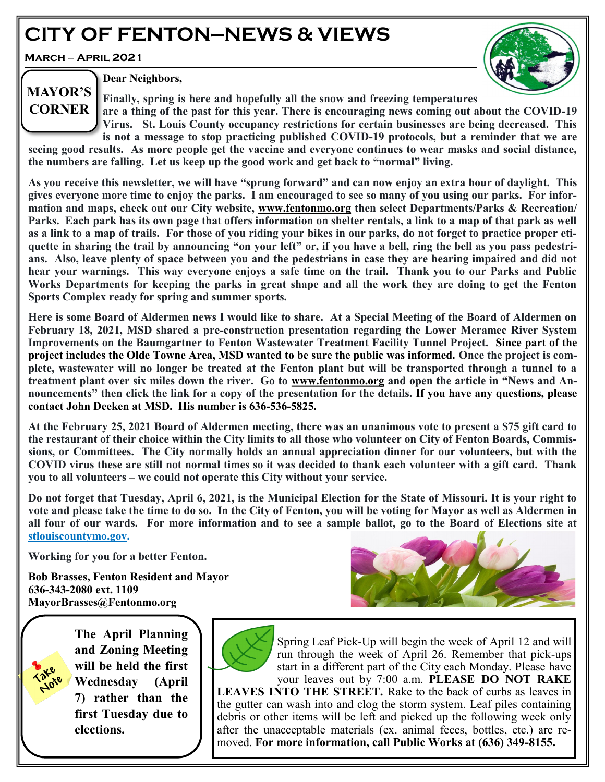# **CITY OF FENTON—NEWS & VIEWS**

**March** — **April 2021**

**MAYOR'S CORNER**



**Dear Neighbors,** 

**Finally, spring is here and hopefully all the snow and freezing temperatures are a thing of the past for this year. There is encouraging news coming out about the COVID-19 Virus. St. Louis County occupancy restrictions for certain businesses are being decreased. This** 

**is not a message to stop practicing published COVID-19 protocols, but a reminder that we are seeing good results. As more people get the vaccine and everyone continues to wear masks and social distance, the numbers are falling. Let us keep up the good work and get back to "normal" living.**

**As you receive this newsletter, we will have "sprung forward" and can now enjoy an extra hour of daylight. This gives everyone more time to enjoy the parks. I am encouraged to see so many of you using our parks. For information and maps, check out our City website, [www.fentonmo.org](http://www.fentonmo.org) then select Departments/Parks & Recreation/ Parks. Each park has its own page that offers information on shelter rentals, a link to a map of that park as well as a link to a map of trails. For those of you riding your bikes in our parks, do not forget to practice proper etiquette in sharing the trail by announcing "on your left" or, if you have a bell, ring the bell as you pass pedestrians. Also, leave plenty of space between you and the pedestrians in case they are hearing impaired and did not hear your warnings. This way everyone enjoys a safe time on the trail. Thank you to our Parks and Public Works Departments for keeping the parks in great shape and all the work they are doing to get the Fenton Sports Complex ready for spring and summer sports.**

**Here is some Board of Aldermen news I would like to share. At a Special Meeting of the Board of Aldermen on February 18, 2021, MSD shared a pre-construction presentation regarding the Lower Meramec River System Improvements on the Baumgartner to Fenton Wastewater Treatment Facility Tunnel Project. Since part of the project includes the Olde Towne Area, MSD wanted to be sure the public was informed. Once the project is complete, wastewater will no longer be treated at the Fenton plant but will be transported through a tunnel to a treatment plant over six miles down the river. Go to [www.fentonmo.org](http://www.fentonmo.org) and open the article in "News and Announcements" then click the link for a copy of the presentation for the details. If you have any questions, please contact John Deeken at MSD. His number is 636-536-5825.**

**At the February 25, 2021 Board of Aldermen meeting, there was an unanimous vote to present a \$75 gift card to the restaurant of their choice within the City limits to all those who volunteer on City of Fenton Boards, Commissions, or Committees. The City normally holds an annual appreciation dinner for our volunteers, but with the COVID virus these are still not normal times so it was decided to thank each volunteer with a gift card. Thank you to all volunteers – we could not operate this City without your service.**

**Do not forget that Tuesday, April 6, 2021, is the Municipal Election for the State of Missouri. It is your right to vote and please take the time to do so. In the City of Fenton, you will be voting for Mayor as well as Aldermen in all four of our wards. For more information and to see a sample ballot, go to the Board of Elections site at stlouiscountymo.gov.**

**Working for you for a better Fenton.**

**Bob Brasses, Fenton Resident and Mayor 636-343-2080 ext. 1109 MayorBrasses@Fentonmo.org**



**The April Planning and Zoning Meeting will be held the first Wednesday (April 7) rather than the first Tuesday due to elections.**

**LOTE** 



Spring Leaf Pick-Up will begin the week of April 12 and will run through the week of April 26. Remember that pick-ups start in a different part of the City each Monday. Please have your leaves out by 7:00 a.m. **PLEASE DO NOT RAKE LEAVES INTO THE STREET.** Rake to the back of curbs as leaves in the gutter can wash into and clog the storm system. Leaf piles containing debris or other items will be left and picked up the following week only after the unacceptable materials (ex. animal feces, bottles, etc.) are removed. **For more information, call Public Works at (636) 349-8155.**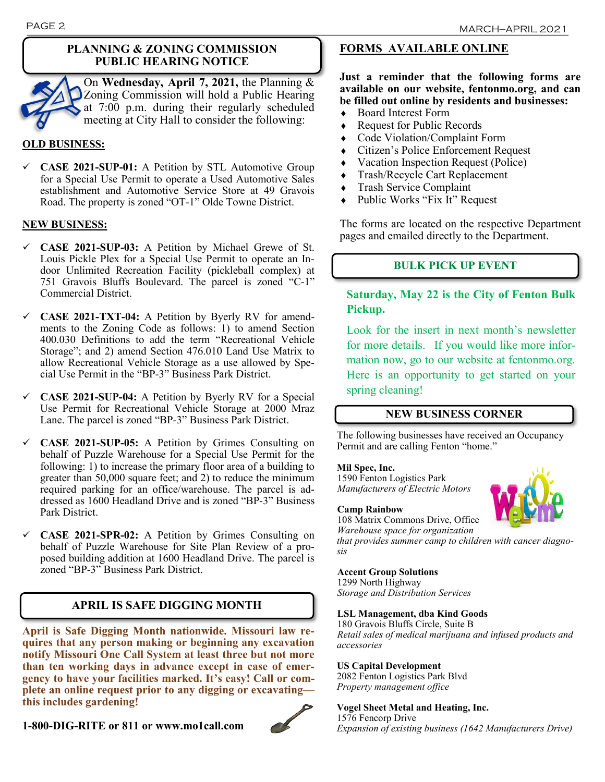

On **Wednesday, April 7, 2021,** the Planning & Zoning Commission will hold a Public Hearing at 7:00 p.m. during their regularly scheduled meeting at City Hall to consider the following:

#### **OLD BUSINESS:**

✓ **CASE 2021-SUP-01:** A Petition by STL Automotive Group for a Special Use Permit to operate a Used Automotive Sales establishment and Automotive Service Store at 49 Gravois Road. The property is zoned "OT-1" Olde Towne District.

#### **NEW BUSINESS:**

- ✓ **CASE 2021-SUP-03:** A Petition by Michael Grewe of St. Louis Pickle Plex for a Special Use Permit to operate an Indoor Unlimited Recreation Facility (pickleball complex) at 751 Gravois Bluffs Boulevard. The parcel is zoned "C-1" Commercial District.
- ✓ **CASE 2021-TXT-04:** A Petition by Byerly RV for amendments to the Zoning Code as follows: 1) to amend Section 400.030 Definitions to add the term "Recreational Vehicle Storage"; and 2) amend Section 476.010 Land Use Matrix to allow Recreational Vehicle Storage as a use allowed by Special Use Permit in the "BP-3" Business Park District.
- ✓ **CASE 2021-SUP-04:** A Petition by Byerly RV for a Special Use Permit for Recreational Vehicle Storage at 2000 Mraz Lane. The parcel is zoned "BP-3" Business Park District.
- ✓ **CASE 2021-SUP-05:** A Petition by Grimes Consulting on behalf of Puzzle Warehouse for a Special Use Permit for the following: 1) to increase the primary floor area of a building to greater than 50,000 square feet; and 2) to reduce the minimum required parking for an office/warehouse. The parcel is addressed as 1600 Headland Drive and is zoned "BP-3" Business Park District.
- ✓ **CASE 2021-SPR-02:** A Petition by Grimes Consulting on behalf of Puzzle Warehouse for Site Plan Review of a proposed building addition at 1600 Headland Drive. The parcel is zoned "BP-3" Business Park District.

### **APRIL IS SAFE DIGGING MONTH**

**April is Safe Digging Month nationwide. Missouri law requires that any person making or beginning any excavation notify Missouri One Call System at least three but not more than ten working days in advance except in case of emergency to have your facilities marked. It's easy! Call or complete an online request prior to any digging or excavating this includes gardening!**

#### **1-800-DIG-RITE or 811 or www.mo1call.com**



## **FORMS AVAILABLE ONLINE**

**Just a reminder that the following forms are available on our website, fentonmo.org, and can be filled out online by residents and businesses:**

- Board Interest Form
- Request for Public Records
- Code Violation/Complaint Form
- Citizen's Police Enforcement Request
- Vacation Inspection Request (Police)
- Trash/Recycle Cart Replacement
- Trash Service Complaint
- Public Works "Fix It" Request

The forms are located on the respective Department pages and emailed directly to the Department.

#### **BULK PICK UP EVENT**

### **Saturday, May 22 is the City of Fenton Bulk Pickup.**

Look for the insert in next month's newsletter for more details.If you would like more information now, go to our website at fentonmo.org. Here is an opportunity to get started on your spring cleaning!

#### **NEW BUSINESS CORNER**

The following businesses have received an Occupancy Permit and are calling Fenton "home."

#### **Mil Spec, Inc.**

1590 Fenton Logistics Park *Manufacturers of Electric Motors*



#### **Camp Rainbow**

108 Matrix Commons Drive, Office *Warehouse space for organization* 

*that provides summer camp to children with cancer diagnosis*

#### **Accent Group Solutions**

1299 North Highway *Storage and Distribution Services*

#### **LSL Management, dba Kind Goods**

180 Gravois Bluffs Circle, Suite B *Retail sales of medical marijuana and infused products and accessories*

#### **US Capital Development**

2082 Fenton Logistics Park Blvd *Property management office*

**Vogel Sheet Metal and Heating, Inc.**  1576 Fencorp Drive *Expansion of existing business (1642 Manufacturers Drive)*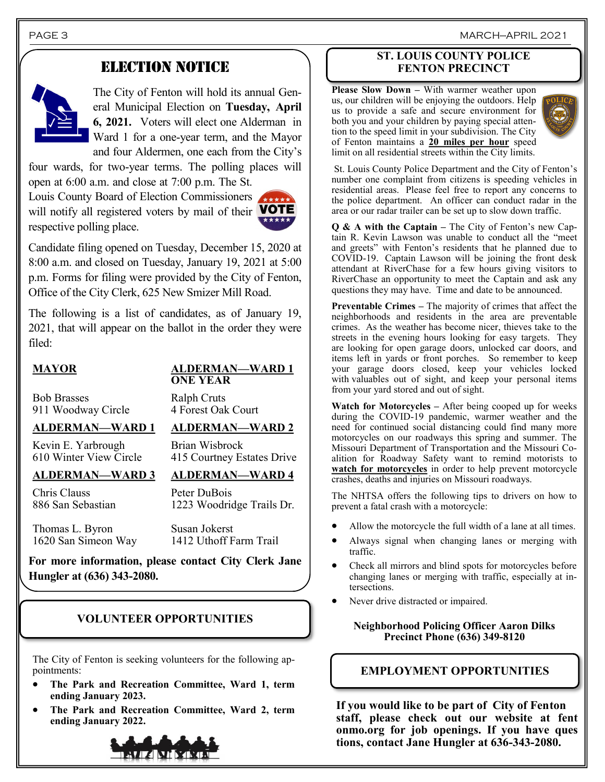PAGE 3 MARCH—APRIL 2021

## ELECTION NOTICE



The City of Fenton will hold its annual General Municipal Election on **Tuesday, April 6, 2021.** Voters will elect one Alderman in Ward 1 for a one-year term, and the Mayor and four Aldermen, one each from the City's

four wards, for two-year terms. The polling places will open at 6:00 a.m. and close at 7:00 p.m. The St.

Louis County Board of Election Commissioners will notify all registered voters by mail of their **VOTE** respective polling place.



Candidate filing opened on Tuesday, December 15, 2020 at 8:00 a.m. and closed on Tuesday, January 19, 2021 at 5:00 p.m. Forms for filing were provided by the City of Fenton, Office of the City Clerk, 625 New Smizer Mill Road.

The following is a list of candidates, as of January 19, 2021, that will appear on the ballot in the order they were filed:

#### **MAYOR ALDERMAN—WARD 1 ONE YEAR**

Bob Brasses 911 Woodway Circle

Ralph Cruts 4 Forest Oak Court

Brian Wisbrock

#### **ALDERMAN—WARD 1 ALDERMAN—WARD 2**

Kevin E. Yarbrough 610 Winter View Circle

### **ALDERMAN—WARD 3 ALDERMAN—WARD 4**

Chris Clauss 886 San Sebastian Peter DuBois 1223 Woodridge Trails Dr.

415 Courtney Estates Drive

Thomas L. Byron 1620 San Simeon Way Susan Jokerst 1412 Uthoff Farm Trail

**For more information, please contact City Clerk Jane Hungler at (636) 343-2080.**

### **VOLUNTEER OPPORTUNITIES**

The City of Fenton is seeking volunteers for the following appointments:

- **The Park and Recreation Committee, Ward 1, term ending January 2023.**
- **The Park and Recreation Committee, Ward 2, term ending January 2022.**



#### **ST. LOUIS COUNTY POLICE FENTON PRECINCT**

**Please Slow Down –** With warmer weather upon us, our children will be enjoying the outdoors. Help us to provide a safe and secure environment for both you and your children by paying special attention to the speed limit in your subdivision. The City of Fenton maintains a **20 miles per hour** speed limit on all residential streets within the City limits.



St. Louis County Police Department and the City of Fenton's number one complaint from citizens is speeding vehicles in residential areas. Please feel free to report any concerns to the police department. An officer can conduct radar in the area or our radar trailer can be set up to slow down traffic.

**Q & A with the Captain –** The City of Fenton's new Captain R. Kevin Lawson was unable to conduct all the "meet and greets" with Fenton's residents that he planned due to COVID-19. Captain Lawson will be joining the front desk attendant at RiverChase for a few hours giving visitors to RiverChase an opportunity to meet the Captain and ask any questions they may have. Time and date to be announced.

**Preventable Crimes –** The majority of crimes that affect the neighborhoods and residents in the area are preventable crimes. As the weather has become nicer, thieves take to the streets in the evening hours looking for easy targets. They are looking for open garage doors, unlocked car doors, and items left in yards or front porches. So remember to keep your garage doors closed, keep your vehicles locked with valuables out of sight, and keep your personal items from your yard stored and out of sight.

**Watch for Motorcycles –** After being cooped up for weeks during the COVID-19 pandemic, warmer weather and the need for continued social distancing could find many more motorcycles on our roadways this spring and summer. The Missouri Department of Transportation and the Missouri Coalition for Roadway Safety want to remind motorists to **watch for motorcycles** in order to help prevent motorcycle crashes, deaths and injuries on Missouri roadways.

The NHTSA offers the following tips to drivers on how to prevent a fatal crash with a motorcycle:

- Allow the motorcycle the full width of a lane at all times.
- Always signal when changing lanes or merging with traffic.
- Check all mirrors and blind spots for motorcycles before changing lanes or merging with traffic, especially at intersections.
- Never drive distracted or impaired.

#### **Neighborhood Policing Officer Aaron Dilks Precinct Phone (636) 349-8120**

## **EMPLOYMENT OPPORTUNITIES**

**If you would like to be part of City of Fenton staff, please check out our website at fent onmo.org for job openings. If you have ques tions, contact Jane Hungler at 636-343-2080.**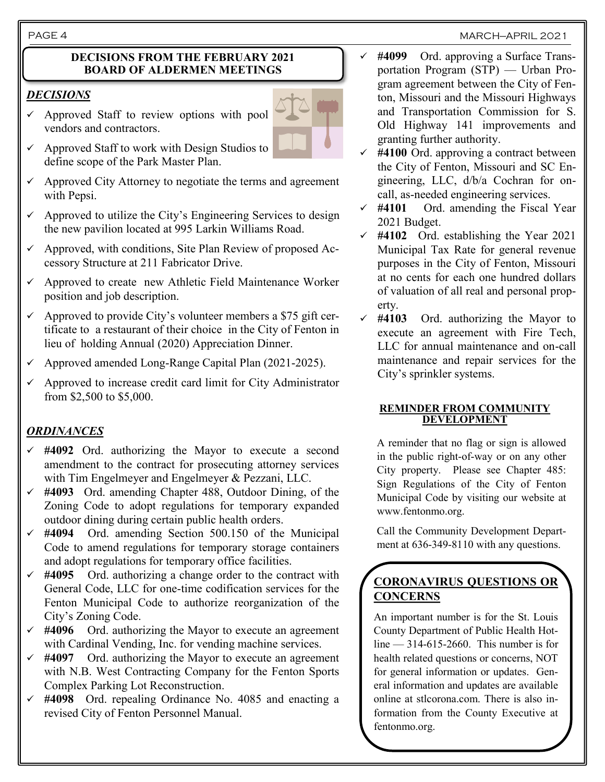#### PAGE 4 MARCH—APRIL 2021

#### **DECISIONS FROM THE FEBRUARY 2021 BOARD OF ALDERMEN MEETINGS**

#### *DECISIONS*

✓ Approved Staff to review options with pool vendors and contractors.



- $\checkmark$  Approved Staff to work with Design Studios to define scope of the Park Master Plan.
- $\checkmark$  Approved City Attorney to negotiate the terms and agreement with Pepsi.
- $\checkmark$  Approved to utilize the City's Engineering Services to design the new pavilion located at 995 Larkin Williams Road.
- $\checkmark$  Approved, with conditions, Site Plan Review of proposed Accessory Structure at 211 Fabricator Drive.
- Approved to create new Athletic Field Maintenance Worker position and job description.
- $\checkmark$  Approved to provide City's volunteer members a \$75 gift certificate to a restaurant of their choice in the City of Fenton in lieu of holding Annual (2020) Appreciation Dinner.
- ✓ Approved amended Long-Range Capital Plan (2021-2025).
- $\checkmark$  Approved to increase credit card limit for City Administrator from \$2,500 to \$5,000.

## *ORDINANCES*

- ✓ **#4092** Ord. authorizing the Mayor to execute a second amendment to the contract for prosecuting attorney services with Tim Engelmeyer and Engelmeyer & Pezzani, LLC.
- ✓ **#4093** Ord. amending Chapter 488, Outdoor Dining, of the Zoning Code to adopt regulations for temporary expanded outdoor dining during certain public health orders.
- $\checkmark$  #4094 Ord. amending Section 500.150 of the Municipal Code to amend regulations for temporary storage containers and adopt regulations for temporary office facilities.
- ✓ **#4095** Ord. authorizing a change order to the contract with General Code, LLC for one-time codification services for the Fenton Municipal Code to authorize reorganization of the City's Zoning Code.
- ✓ **#4096** Ord. authorizing the Mayor to execute an agreement with Cardinal Vending, Inc. for vending machine services.
- ✓ **#4097** Ord. authorizing the Mayor to execute an agreement with N.B. West Contracting Company for the Fenton Sports Complex Parking Lot Reconstruction.
- ✓ **#4098** Ord. repealing Ordinance No. 4085 and enacting a revised City of Fenton Personnel Manual.
- ✓ **#4099** Ord. approving a Surface Transportation Program (STP) — Urban Program agreement between the City of Fenton, Missouri and the Missouri Highways and Transportation Commission for S. Old Highway 141 improvements and granting further authority.
- ✓ **#4100** Ord. approving a contract between the City of Fenton, Missouri and SC Engineering, LLC, d/b/a Cochran for oncall, as-needed engineering services.
- ✓ **#4101** Ord. amending the Fiscal Year 2021 Budget.
- ✓ **#4102** Ord. establishing the Year 2021 Municipal Tax Rate for general revenue purposes in the City of Fenton, Missouri at no cents for each one hundred dollars of valuation of all real and personal property.
- ✓ **#4103** Ord. authorizing the Mayor to execute an agreement with Fire Tech, LLC for annual maintenance and on-call maintenance and repair services for the City's sprinkler systems.

#### **REMINDER FROM COMMUNITY DEVELOPMENT**

A reminder that no flag or sign is allowed in the public right-of-way or on any other City property. Please see Chapter 485: Sign Regulations of the City of Fenton Municipal Code by visiting our website at www.fentonmo.org.

Call the Community Development Department at 636-349-8110 with any questions.

## **CORONAVIRUS QUESTIONS OR CONCERNS**

An important number is for the St. Louis County Department of Public Health Hot $line < 314-615-2660$ . This number is for health related questions or concerns, NOT for general information or updates. General information and updates are available online at stlcorona.com. There is also information from the County Executive at fentonmo.org.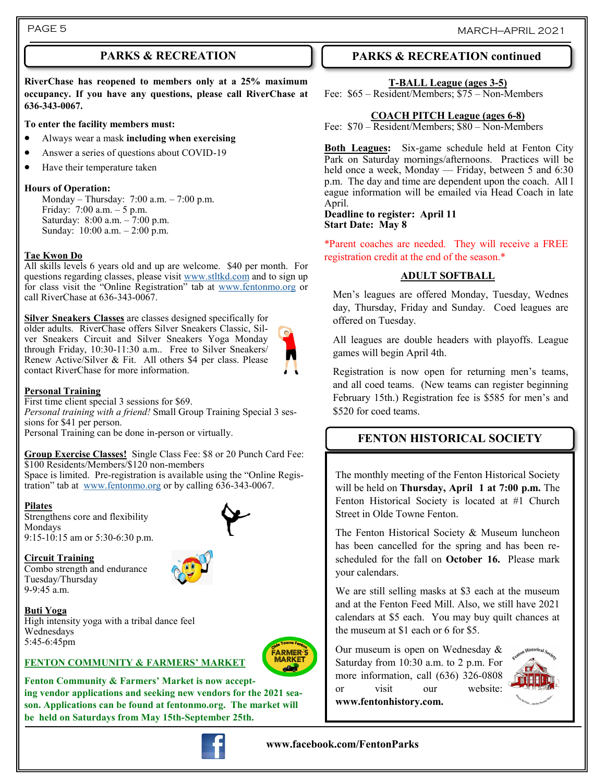**RiverChase has reopened to members only at a 25% maximum occupancy. If you have any questions, please call RiverChase at 636-343-0067.**

#### **To enter the facility members must:**

- Always wear a mask **including when exercising**
- Answer a series of questions about COVID-19
- Have their temperature taken

#### **Hours of Operation:**

Monday – Thursday: 7:00 a.m. – 7:00 p.m. Friday: 7:00 a.m. – 5 p.m. Saturday: 8:00 a.m. – 7:00 p.m. Sunday: 10:00 a.m. – 2:00 p.m.

#### **Tae Kwon Do**

All skills levels 6 years old and up are welcome. \$40 per month. For questions regarding classes, please visit [www.stltkd.com](http://www.stltkd.com) and to sign up for class visit the "Online Registration" tab at [www.fentonmo.org](http://www.fentonmo.org) or call RiverChase at 636-343-0067.

**Silver Sneakers Classes** are classes designed specifically for older adults. RiverChase offers Silver Sneakers Classic, Silver Sneakers Circuit and Silver Sneakers Yoga Monday through Friday, 10:30-11:30 a.m.. Free to Silver Sneakers/ Renew Active/Silver & Fit. All others \$4 per class. Please contact RiverChase for more information.

#### **Personal Training**

First time client special 3 sessions for \$69. *Personal training with a friend!* Small Group Training Special 3 sessions for \$41 per person. Personal Training can be done in-person or virtually.

**Group Exercise Classes!** Single Class Fee: \$8 or 20 Punch Card Fee: \$100 Residents/Members/\$120 non-members

Space is limited. Pre-registration is available using the "Online Registration" tab at [www.fentonmo.org](http://www.fentonmo.org) or by calling 636-343-0067.

#### **Pilates**

Strengthens core and flexibility Mondays 9:15-10:15 am or 5:30-6:30 p.m.



**Circuit Training**  Combo strength and endurance Tuesday/Thursday 9-9:45 a.m.



#### **Buti Yoga**

High intensity yoga with a tribal dance feel Wednesdays 5:45-6:45pm



#### **FENTON COMMUNITY & FARMERS' MARKET**

Fenton Community & Farmers' Market is now accept**ing vendor applications and seeking new vendors for the 2021 season. Applications can be found at fentonmo.org. The market will be held on Saturdays from May 15th-September 25th.**



## **www.facebook.com/FentonParks**

## **PARKS & RECREATION PARKS & RECREATION continued**

#### **T-BALL League (ages 3-5)**

Fee: \$65 – Resident/Members; \$75 – Non-Members

#### **COACH PITCH League (ages 6-8)**

Fee: \$70 – Resident/Members; \$80 – Non-Members

**Both Leagues:** Six-game schedule held at Fenton City Park on Saturday mornings/afternoons. Practices will be held once a week, Monday — Friday, between 5 and 6:30 p.m. The day and time are dependent upon the coach. All l eague information will be emailed via Head Coach in late April.

#### **Deadline to register: April 11 Start Date: May 8**

\*Parent coaches are needed. They will receive a FREE registration credit at the end of the season.\*

### **ADULT SOFTBALL**

Men's leagues are offered Monday, Tuesday, Wednes day, Thursday, Friday and Sunday. Coed leagues are offered on Tuesday.

All leagues are double headers with playoffs. League games will begin April 4th.

Registration is now open for returning men's teams, and all coed teams. (New teams can register beginning February 15th.) Registration fee is \$585 for men's and \$520 for coed teams.

## **FENTON HISTORICAL SOCIETY**

The monthly meeting of the Fenton Historical Society will be held on **Thursday, April 1 at 7:00 p.m.** The Fenton Historical Society is located at #1 Church Street in Olde Towne Fenton.

The Fenton Historical Society & Museum luncheon has been cancelled for the spring and has been rescheduled for the fall on **October 16.** Please mark your calendars.

We are still selling masks at \$3 each at the museum and at the Fenton Feed Mill. Also, we still have 2021 calendars at \$5 each. You may buy quilt chances at the museum at \$1 each or 6 for \$5.

Our museum is open on Wednesday & Saturday from 10:30 a.m. to 2 p.m. For more information, call (636) 326-0808 or visit our website: **www.fentonhistory.com.**